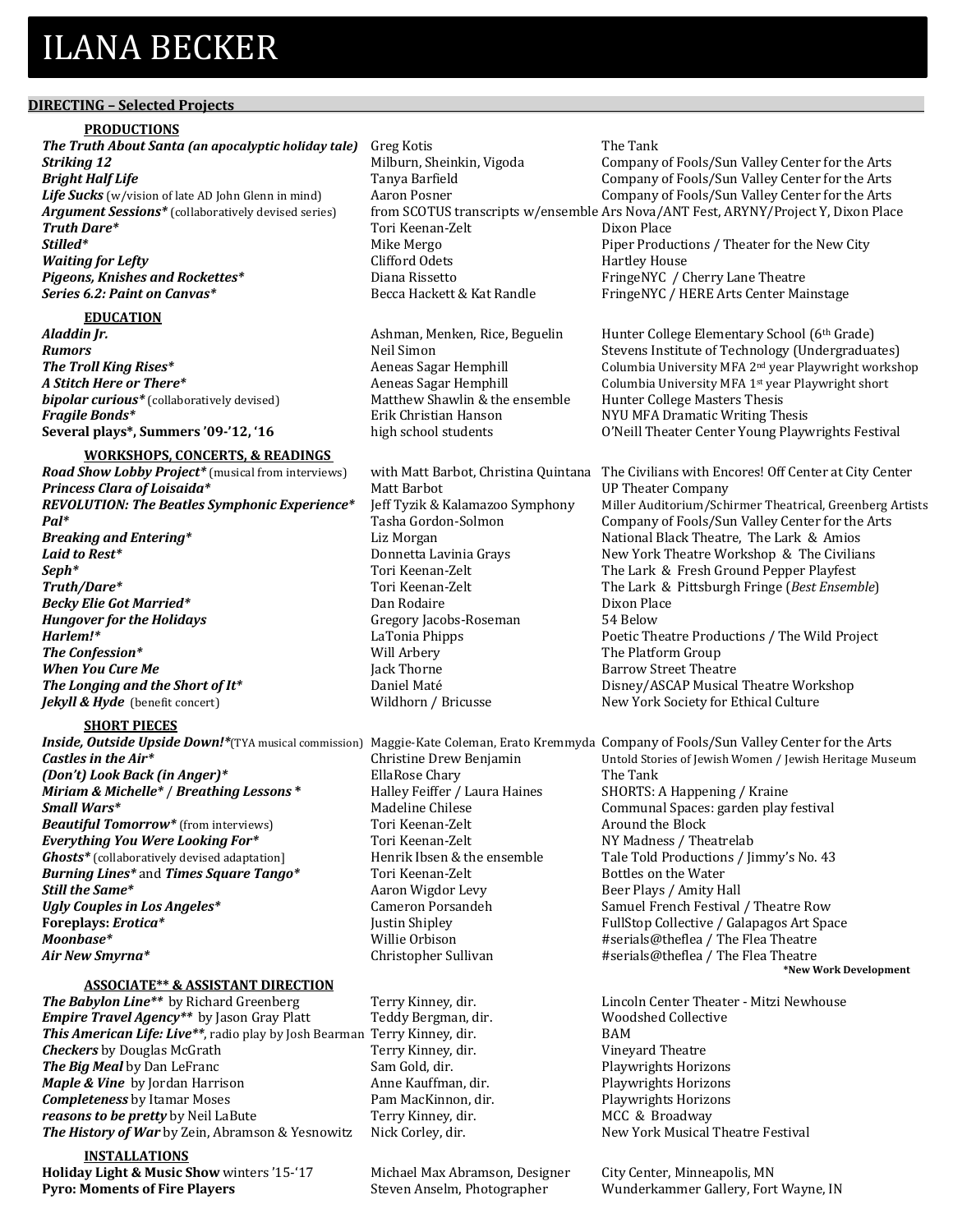# **ILANA BECKER**

# **DIRECTING** - Selected Projects

#### **PRODUCTIONS**

**The Truth About Santa (an apocalyptic holiday tale)** Greg Kotis The Tank **Striking 12 Striking 12 Company** of Fools/Sun Valley Center for the Arts Company of Fools/Sun Valley Center for the Arts **Bright Half Life** Tanya Barfield Company of Fools/Sun Valley Center for the Arts Life Sucks (w/vision of late AD John Glenn in mind) Aaron Posner Company of Fools/Sun Valley Center for the Arts Argument Sessions\* (collaboratively devised series) from SCOTUS transcripts w/ensemble Ars Nova/ANT Fest, ARYNY/Project Y, Dixon Place **Truth Dare\*** Tori Keenan-Zelt Dixon Place **Stilled<sup>\*</sup>** Subsequence **Productions**  $\blacksquare$  Mike Mergo  $\blacksquare$  Piper Productions / Theater for the New City *Waiting for Lefty* **Clifford Odets Clifford Odets** Hartley House **Pigeons, Knishes and Rockettes\* Diana Rissetto Pigeons, Knishes and Rockettes\* Diana Rissetto FringeNYC** / Cherry Lane Theatre **Series 6.2: Paint on Canvas\* Becca Hackett & Kat Randle** FringeNYC / HERE Arts Center Mainstage

 

#### **EDUCATION**

**bipolar curious\*** (collaboratively devised) Matthew Shawlin & the ensemble Hunter College Masters Thesis **Fragile Bonds\*** Erik Christian Hanson NYU MFA Dramatic Writing Thesis<br>Several plays\*, Summers '09-'12, '16 high school students O'Neill Theater Center Young Play

#### **WORKSHOPS, CONCERTS, & READINGS**

*Road Show Lobby Project\** (musical from interviews) with Matt Barbot, Christina Quintana The Civilians with Encores! Off Center at City Center **Princess Clara of Loisaida\*** Matt Barbot Matt Darbot UP Theater Company **Pal<sup>\*</sup>** Tasha Gordon-Solmon Company of Fools/Sun Valley Center for the Arts **Breaking and Entering\*** The Lix Morgan Liz Morgan National Black Theatre, The Lark & Amios **Laid to Rest<sup>\*</sup>** 2. **Example 2. The Connetta Lavinia Grays** 2. New York Theatre Workshop & The Civilians **Seph<sup>\*</sup>** Supercomponent Community Tori Keenan-Zelt The Lark & Fresh Ground Pepper Playfest **Truth/Dare\*** Tori Keenan-Zelt The Lark & Pittsburgh Fringe (*Best Ensemble*) **Becky Elie Got Married\* Dan Rodaire** Dixon Place *Hungover for the Holidays* Gregory Jacobs-Roseman 54 Below **Harlem!\* Harlem I LaTonia Phipps Poetic Theatre Productions** / The Wild Project **The Confession\*** The Platform Group **The Confession\*** The Platform Group *When You Cure Me* **Department Controllering Controllering Section Acts Barrow Street Theatre Barrow** Street Theatre **The Longing and the Short of It\*** Daniel Maté Disney/ASCAP Musical Theatre Workshop *Jekyll & Hyde* (benefit concert) Wildhorn / Bricusse New York Society for Ethical Culture

# **SHORT PIECES**

*(Don't) Look Back (in Anger)\** EllaRose Chary Figure The Tank *Miriam & Michelle\** / *Breathing Lessons* \* *Halley Feiffer* / Laura Haines SHORTS: A Happening / Kraine **Small Wars**<sup>\*</sup> The South Communal Spaces: garden play festival and the Madeline Chilese Communal Spaces: garden play festival **Beautiful Tomorrow\*** (from interviews) Tori Keenan-Zelt Around the Block **Everything You Were Looking For\*** Tori Keenan-Zelt NY Madness / Theatrelab **Ghosts**\* (collaboratively devised adaptation] Henrik Ibsen & the ensemble Tale Told Productions / Jimmy's No. 43 **Burning Lines\*** and **Times Square Tango\*** Tori Keenan-Zelt Bottles on the Water **Still the Same\*** Annual Maximum Aaron Wigdor Levy Beer Plays / Amity Hall **Ugly Couples in Los Angeles\*** Cameron Porsandeh Samuel French Festival / Theatre Row **Foreplays: Erotica\* From Example 2018** Justin Shipley **FullStop Collective** / Galapagos Art Space **Moonbase\*** Millie Orbison **#Serials@theflea** / The Flea Theatre **Moonbase** Millie Orbison **Air New Smyrna\*** The Sullivan Christopher Sullivan **Air New Smyrna\*** The Flea Theatre

# **ASSOCIATE\*\* & ASSISTANT DIRECTION**

**The Babylon Line\*\*** by Richard Greenberg Terry Kinney, dir. Lincoln Center Theater - Mitzi Newhouse **Empire Travel Agency**\*\* by Jason Gray Platt Teddy Bergman, dir. Woodshed Collective **This American Life: Live\*\***, radio play by Josh Bearman Terry Kinney, dir. BAM **Checkers** by Douglas McGrath Terry Kinney, dir. Vineyard Theatre **The Big Meal** by Dan LeFranc Sam Gold, dir. The Big Meal by Dan LeFranc Sam Gold, dir. Playwrights Horizons Manne Kauffman. dir. Playwrights Horizons *Maple & Vine* by Jordan Harrison **Anne Kauffman, dir.** Playwrights Horizons **Completeness** by Itamar Moses **Pam MacKinnon, dir.** Playwrights Horizons *reasons to be pretty* by Neil LaBute Terry Kinney, dir. MCC & Broadway **The History of War** by Zein, Abramson & Yesnowitz Nick Corley, dir. New York Musical Theatre Festival

# **INSTALLATIONS**

**Holiday Light & Music Show** winters '15-'17 Michael Max Abramson, Designer City Center, Minneapolis, MN **Pyro: Moments of Fire Players** Steven Anselm, Photographer Wunderkammer Gallery, Fort Wayne, IN

Aladdin Jr. **Aladin Jr. Ashman, Menken, Rice, Beguelin** Hunter College Elementary School (6th Grade) **Rumors** Neil Simon Stevens Institute of Technology (Undergraduates)<br> **The Troll King Rises\*** Sagar Hemphill Stevens Institute of Technology (Undergraduates) **The Troll King Rises\*** Aeneas Sagar Hemphill Columbia University MFA 2<sup>nd</sup> year Playwright workshop A **Stitch Here or There<sup>\*</sup>** Annon Chemphill Columbia University MFA 1<sup>st</sup> year Playwright short Annon Columbia University MFA 1<sup>st</sup> year Playwright short **Several plays\*, Summers '09-'12, '16** high school students O'Neill Theater Center Young Playwrights Festival

REVOLUTION: The Beatles Symphonic Experience\* Jeff Tyzik & Kalamazoo Symphony Miller Auditorium/Schirmer Theatrical, Greenberg Artists

**Inside, Outside Upside Down!\***(TYA musical commission) Maggie-Kate Coleman, Erato Kremmyda Company of Fools/Sun Valley Center for the Arts<br>Castles in the Air\* (Iewish Heritage Musical commission) Christine Drew Benjamin **Christine Drew Benjamin** Untold Stories of Jewish Women / Jewish Heritage Museum **\*New Work Development**